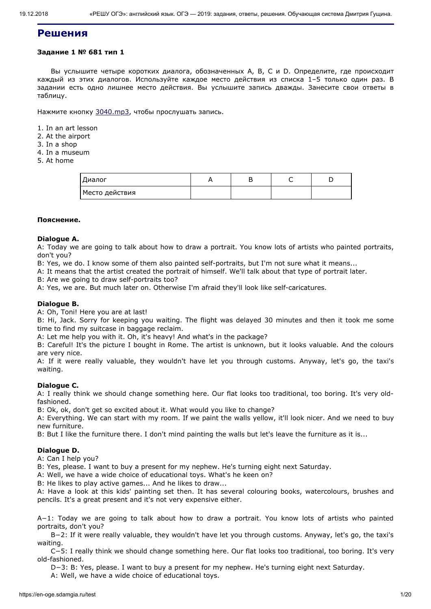# **Решения**

# **Задание 1 № 681 тип 1**

Вы услышите четыре коротких диалога, обозначенных А, B, C и D. Определите, где происходит каждый из этих диалогов. Используйте каждое место действия из списка 1–5 только один раз. В задании есть одно лишнее место действия. Вы услышите запись дважды. Занесите свои ответы в таблицу.

Нажмите кнопку [3040.mp3](https://en-oge.sdamgia.ru/files/3040.mp3), чтобы прослушать запись.

1. In an art lesson

- 2. At the airport
- 3. In a shop
- 4. In a museum
- 5. At home

| Диалог         |  |  |
|----------------|--|--|
| Место действия |  |  |

### **Пояснение.**

### **Dialogue А.**

A: Today we are going to talk about how to draw a portrait. You know lots of artists who painted portraits, don't you?

B: Yes, we do. I know some of them also painted self-portraits, but I'm not sure what it means...

A: It means that the artist created the portrait of himself. We'll talk about that type of portrait later.

B: Are we going to draw self-portraits too?

A: Yes, we are. But much later on. Otherwise I'm afraid they'll look like self-caricatures.

## **Dialogue В.**

A: Oh, Toni! Here you are at last!

B: Hi, Jack. Sorry for keeping you waiting. The flight was delayed 30 minutes and then it took me some time to find my suitcase in baggage reclaim.

A: Let me help you with it. Oh, it's heavy! And what's in the package?

B: Careful! It's the picture I bought in Rome. The artist is unknown, but it looks valuable. And the colours are very nice.

A: If it were really valuable, they wouldn't have let you through customs. Anyway, let's go, the taxi's waiting.

# **Dialogue С.**

A: I really think we should change something here. Our flat looks too traditional, too boring. It's very oldfashioned.

B: Ok, ok, don't get so excited about it. What would you like to change?

A: Everything. We can start with my room. If we paint the walls yellow, it'll look nicer. And we need to buy new furniture.

B: But I like the furniture there. I don't mind painting the walls but let's leave the furniture as it is...

# **Dialogue D.**

A: Can I help you?

B: Yes, please. I want to buy a present for my nephew. He's turning eight next Saturday.

A: Well, we have a wide choice of educational toys. What's he keen on?

В: Не likes to play active games... And he likes to draw...

A: Have a look at this kids' painting set then. It has several colouring books, watercolours, brushes and pencils. It's a great present and it's not very expensive either.

A−1: Today we are going to talk about how to draw a portrait. You know lots of artists who painted portraits, don't you?

B−2: If it were really valuable, they wouldn't have let you through customs. Anyway, let's go, the taxi's waiting.

C−5: I really think we should change something here. Our flat looks too traditional, too boring. It's very old-fashioned.

D−3: B: Yes, please. I want to buy a present for my nephew. He's turning eight next Saturday.

A: Well, we have a wide choice of educational toys.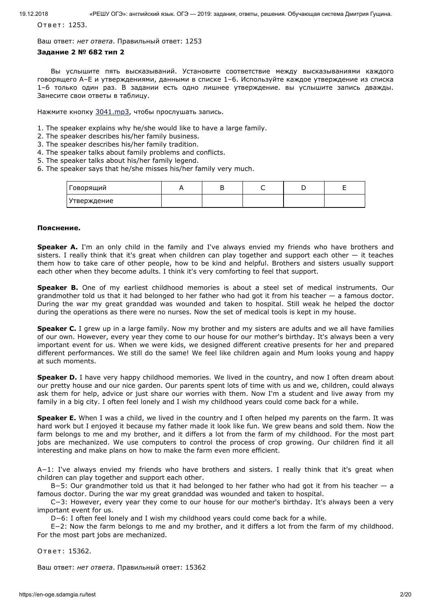Ответ: 1253.

Ваш ответ: *нет ответа*. Правильный ответ: 1253

## **Задание 2 № 682 тип 2**

Вы услышите пять высказываний. Установите соответствие между высказываниями каждого говорящего A–E и утверждениями, данными в списке 1–6. Используйте каждое утверждение из списка 1–6 только один раз. В задании есть одно лишнее утверждение. вы услышите запись дважды. Занесите свои ответы в таблицу.

Нажмите кнопку [3041.mp3](https://en-oge.sdamgia.ru/files/3041.mp3), чтобы прослушать запись.

1. The speaker explains why he/she would like to have a large family.

- 2. The speaker describes his/her family business.
- 3. The speaker describes his/her family tradition.
- 4. The speaker talks about family problems and conflicts.
- 5. The speaker talks about his/her family legend.
- 6. The speaker says that he/she misses his/her family very much.

| Говорящий   |  |  |  |
|-------------|--|--|--|
| Утверждение |  |  |  |

# **Пояснение.**

**Speaker A.** I'm an only child in the family and I've always envied my friends who have brothers and sisters. I really think that it's great when children can play together and support each other — it teaches them how to take care of other people, how to be kind and helpful. Brothers and sisters usually support each other when they become adults. I think it's very comforting to feel that support.

**Speaker В.** One of my earliest childhood memories is about a steel set of medical instruments. Our grandmother told us that it had belonged to her father who had got it from his teacher — a famous doctor. During the war my great granddad was wounded and taken to hospital. Still weak he helped the doctor during the operations as there were no nurses. Now the set of medical tools is kept in my house.

**Speaker C.** I grew up in a large family. Now my brother and my sisters are adults and we all have families of our own. However, every year they come to our house for our mother's birthday. It's always been a very important event for us. When we were kids, we designed different creative presents for her and prepared different performances. We still do the same! We feel like children again and Mum looks young and happy at such moments.

**Speaker D.** I have very happy childhood memories. We lived in the country, and now I often dream about our pretty house and our nice garden. Our parents spent lots of time with us and we, children, could always ask them for help, advice or just share our worries with them. Now I'm a student and live away from my family in a big city. I often feel lonely and I wish my childhood years could come back for a while.

**Speaker E.** When I was a child, we lived in the country and I often helped my parents on the farm. It was hard work but I enjoyed it because my father made it look like fun. We grew beans and sold them. Now the farm belongs to me and my brother, and it differs a lot from the farm of my childhood. For the most part jobs are mechanized. We use computers to control the process of crop growing. Our children find it all interesting and make plans on how to make the farm even more efficient.

A−1: I've always envied my friends who have brothers and sisters. I really think that it's great when children can play together and support each other.

B−5: Our grandmother told us that it had belonged to her father who had got it from his teacher — a famous doctor. During the war my great granddad was wounded and taken to hospital.

C−3: However, every year they come to our house for our mother's birthday. It's always been a very important event for us.

D−6: I often feel lonely and I wish my childhood years could come back for a while.

E−2: Now the farm belongs to me and my brother, and it differs a lot from the farm of my childhood. For the most part jobs are mechanized.

Ответ: 15362.

Ваш ответ: *нет ответа*. Правильный ответ: 15362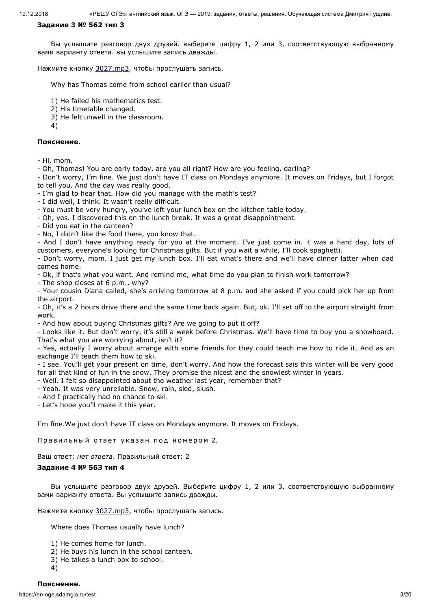### **Задание 3 № 562 тип 3**

Вы услышите разговор двух друзей. выберите цифру 1, 2 или 3, соответствующую выбранному вами варианту ответа. вы услышите запись дважды.

Нажмите кнопку [3027.mp3](https://en-oge.sdamgia.ru/files/3027.mp3), чтобы прослушать запись.

Why has Thomas come from school earlier than usual?

1) He failed his mathematics test.

2) His timetable changed.

3) He felt unwell in the classroom.

4)

## **Пояснение.**

- Hi, mom.

- Oh, Thomas! You are early today, are you all right? How are you feeling, darling?

- Don't worry, I'm fine. We just don't have IT class on Mondays anymore. It moves on Fridays, but I forgot to tell you. And the day was really good.

- I'm glad to hear that. How did you manage with the math's test?

- I did well, I think. It wasn't really difficult.

- You must be very hungry, you've left your lunch box on the kitchen table today.

- Oh, yes. I discovered this on the lunch break. It was a great disappointment.

- Did you eat in the canteen?

- No, I didn't like the food there, you know that.

- And I don't have anything ready for you at the moment. I've just come in. it was a hard day, lots of customers, everyone's looking for Christmas gifts. But if you wait a while, I'll cook spaghetti.

- Don't worry, mom. I just get my lunch box. I'll eat what's there and we'll have dinner latter when dad comes home.

- Ok, if that's what you want. And remind me, what time do you plan to finish work tomorrow?

- The shop closes at 6 p.m., why?

- Your cousin Diana called, she's arriving tomorrow at 8 p.m. and she asked if you could pick her up from the airport.

- Oh, it's a 2 hours drive there and the same time back again. But, ok. I'll set off to the airport straight from work.

- And how about buying Christmas gifts? Are we going to put it off?

- Looks like it. But don't worry, it's still a week before Christmas. We'll have time to buy you a snowboard. That's what you are worrying about, isn't it?

- Yes, actually I worry about arrange with some friends for they could teach me how to ride it. And as an exchange I'll teach them how to ski.

- I see. You'll get your present on time, don't worry. And how the forecast sais this winter will be very good for all that kind of fun in the snow. They promise the nicest and the snowiest winter in years.

- Well. I felt so disappointed about the weather last year, remember that?

- Yeah. It was very unreliable. Snow, rain, sled, slush.

- And I practically had no chance to ski.

- Let's hope you'll make it this year.

I'm fine.We just don't have IT class on Mondays anymore. It moves on Fridays.

Правильный ответ указан под номером 2.

Ваш ответ: *нет ответа*. Правильный ответ: 2

# **Задание 4 № 563 тип 4**

Вы услышите разговор двух друзей. Выберите цифру 1, 2 или 3, соответствующую выбранному вами варианту ответа. Вы услышите запись дважды.

Нажмите кнопку [3027.mp3](https://en-oge.sdamgia.ru/files/3027.mp3), чтобы прослушать запись.

Where does Thomas usually have lunch?

- 1) He comes home for lunch.
- 2) He buys his lunch in the school canteen.
- 3) He takes a lunch box to school.
- 4)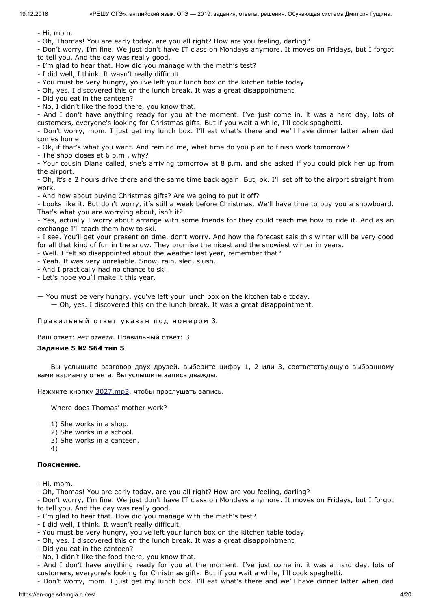- Hi, mom.

- Oh, Thomas! You are early today, are you all right? How are you feeling, darling?

- Don't worry, I'm fine. We just don't have IT class on Mondays anymore. It moves on Fridays, but I forgot to tell you. And the day was really good.

- I'm glad to hear that. How did you manage with the math's test?

- I did well, I think. It wasn't really difficult.

- You must be very hungry, you've left your lunch box on the kitchen table today.

- Oh, yes. I discovered this on the lunch break. It was a great disappointment.

- Did you eat in the canteen?

- No, I didn't like the food there, you know that.

- And I don't have anything ready for you at the moment. I've just come in. it was a hard day, lots of customers, everyone's looking for Christmas gifts. But if you wait a while, I'll cook spaghetti.

- Don't worry, mom. I just get my lunch box. I'll eat what's there and we'll have dinner latter when dad comes home.

- Ok, if that's what you want. And remind me, what time do you plan to finish work tomorrow?

- The shop closes at 6 p.m., why?

- Your cousin Diana called, she's arriving tomorrow at 8 p.m. and she asked if you could pick her up from the airport.

- Oh, it's a 2 hours drive there and the same time back again. But, ok. I'll set off to the airport straight from work.

- And how about buying Christmas gifts? Are we going to put it off?

- Looks like it. But don't worry, it's still a week before Christmas. We'll have time to buy you a snowboard. That's what you are worrying about, isn't it?

- Yes, actually I worry about arrange with some friends for they could teach me how to ride it. And as an exchange I'll teach them how to ski.

- I see. You'll get your present on time, don't worry. And how the forecast sais this winter will be very good for all that kind of fun in the snow. They promise the nicest and the snowiest winter in years.

- Well. I felt so disappointed about the weather last year, remember that?

- Yeah. It was very unreliable. Snow, rain, sled, slush.

- And I practically had no chance to ski.

- Let's hope you'll make it this year.

— You must be very hungry, you've left your lunch box on the kitchen table today.

— Oh, yes. I discovered this on the lunch break. It was a great disappointment.

Правильный ответ указан под номером 3.

Ваш ответ: *нет ответа*. Правильный ответ: 3

# **Задание 5 № 564 тип 5**

Вы услышите разговор двух друзей. выберите цифру 1, 2 или 3, соответствующую выбранному вами варианту ответа. Вы услышите запись дважды.

Нажмите кнопку [3027.mp3](https://en-oge.sdamgia.ru/files/3027.mp3), чтобы прослушать запись.

Where does Thomas' mother work?

1) She works in a shop.

2) She works in a school.

3) She works in a canteen.

4)

### **Пояснение.**

- Hi, mom.

- Oh, Thomas! You are early today, are you all right? How are you feeling, darling?

- Don't worry, I'm fine. We just don't have IT class on Mondays anymore. It moves on Fridays, but I forgot to tell you. And the day was really good.

- I'm glad to hear that. How did you manage with the math's test?

- I did well, I think. It wasn't really difficult.

- You must be very hungry, you've left your lunch box on the kitchen table today.
- Oh, yes. I discovered this on the lunch break. It was a great disappointment.
- Did you eat in the canteen?
- No, I didn't like the food there, you know that.

- And I don't have anything ready for you at the moment. I've just come in. it was a hard day, lots of customers, everyone's looking for Christmas gifts. But if you wait a while, I'll cook spaghetti.

- Don't worry, mom. I just get my lunch box. I'll eat what's there and we'll have dinner latter when dad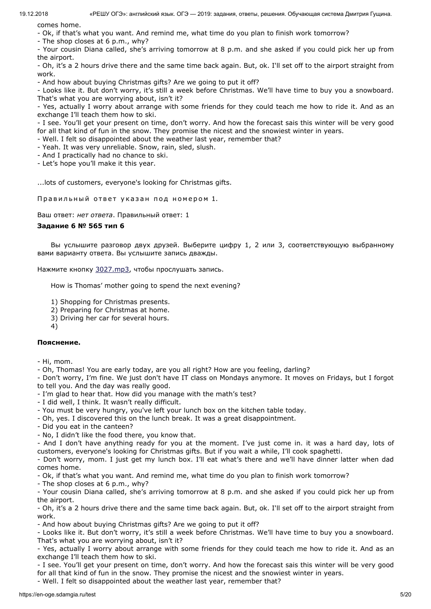comes home.

- Ok, if that's what you want. And remind me, what time do you plan to finish work tomorrow?

- The shop closes at 6 p.m., why?

- Your cousin Diana called, she's arriving tomorrow at 8 p.m. and she asked if you could pick her up from the airport.

- Oh, it's a 2 hours drive there and the same time back again. But, ok. I'll set off to the airport straight from work.

- And how about buying Christmas gifts? Are we going to put it off?

- Looks like it. But don't worry, it's still a week before Christmas. We'll have time to buy you a snowboard. That's what you are worrying about, isn't it?

- Yes, actually I worry about arrange with some friends for they could teach me how to ride it. And as an exchange I'll teach them how to ski.

- I see. You'll get your present on time, don't worry. And how the forecast sais this winter will be very good for all that kind of fun in the snow. They promise the nicest and the snowiest winter in years.

- Well. I felt so disappointed about the weather last year, remember that?

- Yeah. It was very unreliable. Snow, rain, sled, slush.

- And I practically had no chance to ski.

- Let's hope you'll make it this year.

...lots of customers, everyone's looking for Christmas gifts.

Правильный ответ указан под номером 1.

Ваш ответ: *нет ответа*. Правильный ответ: 1

# **Задание 6 № 565 тип 6**

Вы услышите разговор двух друзей. Выберите цифру 1, 2 или 3, соответствующую выбранному вами варианту ответа. Вы услышите запись дважды.

Нажмите кнопку [3027.mp3](https://en-oge.sdamgia.ru/files/3027.mp3), чтобы прослушать запись.

How is Thomas' mother going to spend the next evening?

1) Shopping for Christmas presents.

2) Preparing for Christmas at home.

3) Driving her car for several hours.

4)

# **Пояснение.**

- Hi, mom.

- Oh, Thomas! You are early today, are you all right? How are you feeling, darling?

- Don't worry, I'm fine. We just don't have IT class on Mondays anymore. It moves on Fridays, but I forgot to tell you. And the day was really good.

- I'm glad to hear that. How did you manage with the math's test?

- I did well, I think. It wasn't really difficult.

- You must be very hungry, you've left your lunch box on the kitchen table today.

- Oh, yes. I discovered this on the lunch break. It was a great disappointment.

- Did you eat in the canteen?

- No, I didn't like the food there, you know that.

- And I don't have anything ready for you at the moment. I've just come in. it was a hard day, lots of customers, everyone's looking for Christmas gifts. But if you wait a while, I'll cook spaghetti.

- Don't worry, mom. I just get my lunch box. I'll eat what's there and we'll have dinner latter when dad comes home.

- Ok, if that's what you want. And remind me, what time do you plan to finish work tomorrow?

- The shop closes at 6 p.m., why?

- Your cousin Diana called, she's arriving tomorrow at 8 p.m. and she asked if you could pick her up from the airport.

- Oh, it's a 2 hours drive there and the same time back again. But, ok. I'll set off to the airport straight from work.

- And how about buying Christmas gifts? Are we going to put it off?

- Looks like it. But don't worry, it's still a week before Christmas. We'll have time to buy you a snowboard. That's what you are worrying about, isn't it?

- Yes, actually I worry about arrange with some friends for they could teach me how to ride it. And as an exchange I'll teach them how to ski.

- I see. You'll get your present on time, don't worry. And how the forecast sais this winter will be very good for all that kind of fun in the snow. They promise the nicest and the snowiest winter in years.

- Well. I felt so disappointed about the weather last year, remember that?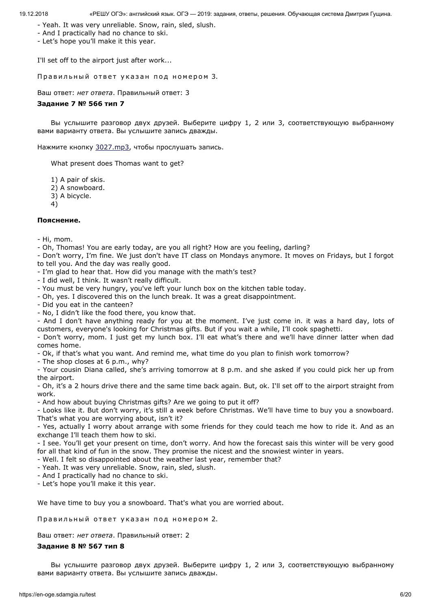- Yeah. It was very unreliable. Snow, rain, sled, slush.
- And I practically had no chance to ski.
- Let's hope you'll make it this year.

I'll set off to the airport just after work...

Правильный ответ указан под номером 3.

Ваш ответ: *нет ответа*. Правильный ответ: 3

# **Задание 7 № 566 тип 7**

Вы услышите разговор двух друзей. Выберите цифру 1, 2 или 3, соответствующую выбранному вами варианту ответа. Вы услышите запись дважды.

Нажмите кнопку [3027.mp3](https://en-oge.sdamgia.ru/files/3027.mp3), чтобы прослушать запись.

What present does Thomas want to get?

1) A pair of skis.

- 2) A snowboard.
- 3) A bicycle.
- 4)

# **Пояснение.**

- Hi, mom.

- Oh, Thomas! You are early today, are you all right? How are you feeling, darling?
- Don't worry, I'm fine. We just don't have IT class on Mondays anymore. It moves on Fridays, but I forgot to tell you. And the day was really good.
- I'm glad to hear that. How did you manage with the math's test?
- I did well, I think. It wasn't really difficult.
- You must be very hungry, you've left your lunch box on the kitchen table today.
- Oh, yes. I discovered this on the lunch break. It was a great disappointment.
- Did you eat in the canteen?
- No, I didn't like the food there, you know that.

- And I don't have anything ready for you at the moment. I've just come in. it was a hard day, lots of customers, everyone's looking for Christmas gifts. But if you wait a while, I'll cook spaghetti.

- Don't worry, mom. I just get my lunch box. I'll eat what's there and we'll have dinner latter when dad comes home.

- Ok, if that's what you want. And remind me, what time do you plan to finish work tomorrow?

- The shop closes at 6 p.m., why?

- Your cousin Diana called, she's arriving tomorrow at 8 p.m. and she asked if you could pick her up from the airport.

- Oh, it's a 2 hours drive there and the same time back again. But, ok. I'll set off to the airport straight from work.

- And how about buying Christmas gifts? Are we going to put it off?

- Looks like it. But don't worry, it's still a week before Christmas. We'll have time to buy you a snowboard. That's what you are worrying about, isn't it?

- Yes, actually I worry about arrange with some friends for they could teach me how to ride it. And as an exchange I'll teach them how to ski.

- I see. You'll get your present on time, don't worry. And how the forecast sais this winter will be very good for all that kind of fun in the snow. They promise the nicest and the snowiest winter in years.

- Well. I felt so disappointed about the weather last year, remember that?

- Yeah. It was very unreliable. Snow, rain, sled, slush.

- And I practically had no chance to ski.

- Let's hope you'll make it this year.

We have time to buy you a snowboard. That's what you are worried about.

Правильный ответ указан под номером 2.

Ваш ответ: *нет ответа*. Правильный ответ: 2

# **Задание 8 № 567 тип 8**

Вы услышите разговор двух друзей. Выберите цифру 1, 2 или 3, соответствующую выбранному вами варианту ответа. Вы услышите запись дважды.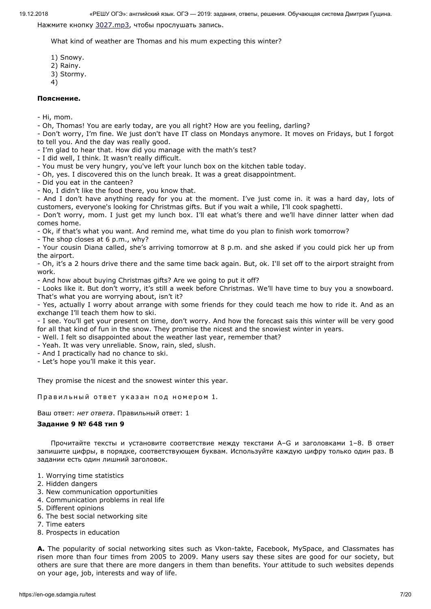Нажмите кнопку [3027.mp3](https://en-oge.sdamgia.ru/files/3027.mp3), чтобы прослушать запись.

What kind of weather are Thomas and his mum expecting this winter?

- 1) Snowy. 2) Rainy.
- 3) Stormy.
- 4)

# **Пояснение.**

- Hi, mom.
- Oh, Thomas! You are early today, are you all right? How are you feeling, darling?

- Don't worry, I'm fine. We just don't have IT class on Mondays anymore. It moves on Fridays, but I forgot to tell you. And the day was really good.

- I'm glad to hear that. How did you manage with the math's test?
- I did well, I think. It wasn't really difficult.
- You must be very hungry, you've left your lunch box on the kitchen table today.
- Oh, yes. I discovered this on the lunch break. It was a great disappointment.
- Did you eat in the canteen?
- No, I didn't like the food there, you know that.

- And I don't have anything ready for you at the moment. I've just come in. it was a hard day, lots of customers, everyone's looking for Christmas gifts. But if you wait a while, I'll cook spaghetti.

- Don't worry, mom. I just get my lunch box. I'll eat what's there and we'll have dinner latter when dad comes home.

- Ok, if that's what you want. And remind me, what time do you plan to finish work tomorrow?

- The shop closes at 6 p.m., why?

- Your cousin Diana called, she's arriving tomorrow at 8 p.m. and she asked if you could pick her up from the airport.

- Oh, it's a 2 hours drive there and the same time back again. But, ok. I'll set off to the airport straight from work.

- And how about buying Christmas gifts? Are we going to put it off?

- Looks like it. But don't worry, it's still a week before Christmas. We'll have time to buy you a snowboard. That's what you are worrying about, isn't it?

- Yes, actually I worry about arrange with some friends for they could teach me how to ride it. And as an exchange I'll teach them how to ski.

- I see. You'll get your present on time, don't worry. And how the forecast sais this winter will be very good for all that kind of fun in the snow. They promise the nicest and the snowiest winter in years.

- Well. I felt so disappointed about the weather last year, remember that?

- Yeah. It was very unreliable. Snow, rain, sled, slush.
- And I practically had no chance to ski.

- Let's hope you'll make it this year.

They promise the nicest and the snowest winter this year.

Правильный ответ указан под номером 1.

Ваш ответ: *нет ответа*. Правильный ответ: 1

# **Задание 9 № 648 тип 9**

Прочитайте тексты и установите соответствие между текстами А–G и заголовками 1–8. В ответ запишите цифры, в порядке, соответствующем буквам. Используйте каждую цифру только один раз. В задании есть один лишний заголовок.

- 1. Worrying time statistics
- 2. Hidden dangers
- 3. New communication opportunities
- 4. Communication problems in real life
- 5. Different opinions
- 6. The best social networking site
- 7. Time eaters
- 8. Prospects in education

**A.** The popularity of social networking sites such as Vkon-takte, Facebook, MySpace, and Classmates has risen more than four times from 2005 to 2009. Many users say these sites are good for our society, but others are sure that there are more dangers in them than benefits. Your attitude to such websites depends on your age, job, interests and way of life.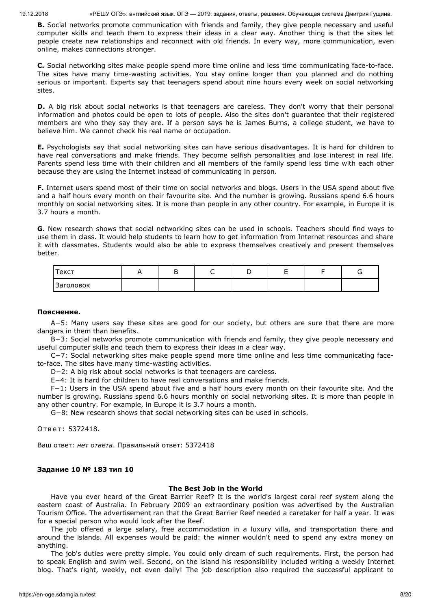**B.** Social networks promote communication with friends and family, they give people necessary and useful computer skills and teach them to express their ideas in a clear way. Another thing is that the sites let people create new relationships and reconnect with old friends. In every way, more communication, even online, makes connections stronger.

**C.** Social networking sites make people spend more time online and less time communicating face-to-face. The sites have many time-wasting activities. You stay online longer than you planned and do nothing serious or important. Experts say that teenagers spend about nine hours every week on social networking sites.

**D.** A big risk about social networks is that teenagers are careless. They don't worry that their personal information and photos could be open to lots of people. Also the sites don't guarantee that their registered members are who they say they are. If a person says he is James Burns, a college student, we have to believe him. We cannot check his real name or occupation.

**E.** Psychologists say that social networking sites can have serious disadvantages. It is hard for children to have real conversations and make friends. They become selfish personalities and lose interest in real life. Parents spend less time with their children and all members of the family spend less time with each other because they are using the Internet instead of communicating in person.

**F.** Internet users spend most of their time on social networks and blogs. Users in the USA spend about five and a half hours every month on their favourite site. And the number is growing. Russians spend 6.6 hours monthly on social networking sites. It is more than people in any other country. For example, in Europe it is 3.7 hours a month.

**G.** New research shows that social networking sites can be used in schools. Teachers should find ways to use them in class. It would help students to learn how to get information from Internet resources and share it with classmates. Students would also be able to express themselves creatively and present themselves better.

| Текст            |  | ∼ |  |  |
|------------------|--|---|--|--|
| <b>Заголовок</b> |  |   |  |  |

### **Пояснение.**

A−5: Many users say these sites are good for our society, but others are sure that there are more dangers in them than benefits.

B−3: Social networks promote communication with friends and family, they give people necessary and useful computer skills and teach them to express their ideas in a clear way.

C−7: Social networking sites make people spend more time online and less time communicating faceto-face. The sites have many time-wasting activities.

D−2: A big risk about social networks is that teenagers are careless.

E−4: It is hard for children to have real conversations and make friends.

F−1: Users in the USA spend about five and a half hours every month on their favourite site. And the number is growing. Russians spend 6.6 hours monthly on social networking sites. It is more than people in any other country. For example, in Europe it is 3.7 hours a month.

G−8: New research shows that social networking sites can be used in schools.

Ответ: 5372418.

Ваш ответ: *нет ответа*. Правильный ответ: 5372418

### **Задание 10 № 183 тип 10**

### **The Best Job in the World**

Have you ever heard of the Great Barrier Reef? It is the world's largest coral reef system along the eastern coast of Australia. In February 2009 an extraordinary position was advertised by the Australian Tourism Office. The advertisement ran that the Great Barrier Reef needed a caretaker for half a year. It was for a special person who would look after the Reef.

The job offered a large salary, free accommodation in a luxury villa, and transportation there and around the islands. All expenses would be paid: the winner wouldn't need to spend any extra money on anything.

The job's duties were pretty simple. You could only dream of such requirements. First, the person had to speak English and swim well. Second, on the island his responsibility included writing a weekly Internet blog. That's right, weekly, not even daily! The job description also required the successful applicant to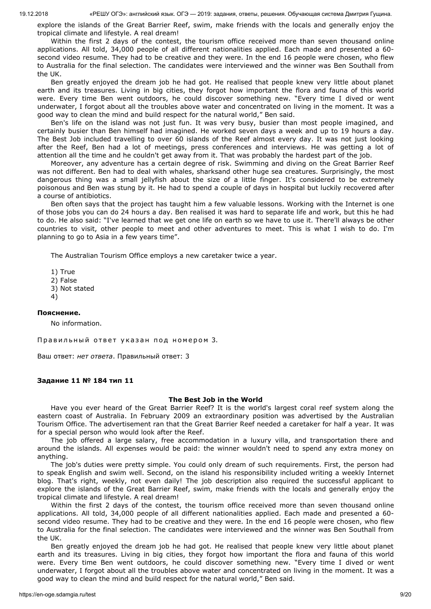explore the islands of the Great Barrier Reef, swim, make friends with the locals and generally enjoy the tropical climate and lifestyle. A real dream!

Within the first 2 days of the contest, the tourism office received more than seven thousand online applications. All told, 34,000 people of all different nationalities applied. Each made and presented a 60 second video resume. They had to be creative and they were. In the end 16 people were chosen, who flew to Australia for the final selection. The candidates were interviewed and the winner was Ben Southall from the UK.

Ben greatly enjoyed the dream job he had got. He realised that people knew very little about planet earth and its treasures. Living in big cities, they forgot how important the flora and fauna of this world were. Every time Ben went outdoors, he could discover something new. "Every time I dived or went underwater, I forgot about all the troubles above water and concentrated on living in the moment. It was a good way to clean the mind and build respect for the natural world," Ben said.

Ben's life on the island was not just fun. It was very busy, busier than most people imagined, and certainly busier than Ben himself had imagined. He worked seven days a week and up to 19 hours a day. The Best Job included travelling to over 60 islands of the Reef almost every day. It was not just looking after the Reef, Ben had a lot of meetings, press conferences and interviews. He was getting a lot of attention all the time and he couldn't get away from it. That was probably the hardest part of the job.

Moreover, any adventure has a certain degree of risk. Swimming and diving on the Great Barrier Reef was not different. Ben had to deal with whales, sharksand other huge sea creatures. Surprisingly, the most dangerous thing was a small jellyfish about the size of a little finger. It's considered to be extremely poisonous and Ben was stung by it. He had to spend a couple of days in hospital but luckily recovered after a course of antibiotics.

Ben often says that the project has taught him a few valuable lessons. Working with the Internet is one of those jobs you can do 24 hours a day. Ben realised it was hard to separate life and work, but this he had to do. He also said: "I've learned that we get one life on earth so we have to use it. There'll always be other countries to visit, other people to meet and other adventures to meet. This is what I wish to do. I'm planning to go to Asia in a few years time".

The Australian Tourism Office employs a new caretaker twice a year.

1) True 2) False 3) Not stated 4)

### **Пояснение.**

No information.

Правильный ответ указан под номером 3.

Ваш ответ: *нет ответа*. Правильный ответ: 3

### **Задание 11 № 184 тип 11**

#### **The Best Job in the World**

Have you ever heard of the Great Barrier Reef? It is the world's largest coral reef system along the eastern coast of Australia. In February 2009 an extraordinary position was advertised by the Australian Tourism Office. The advertisement ran that the Great Barrier Reef needed a caretaker for half a year. It was for a special person who would look after the Reef.

The job offered a large salary, free accommodation in a luxury villa, and transportation there and around the islands. All expenses would be paid: the winner wouldn't need to spend any extra money on anything.

The job's duties were pretty simple. You could only dream of such requirements. First, the person had to speak English and swim well. Second, on the island his responsibility included writing a weekly Internet blog. That's right, weekly, not even daily! The job description also required the successful applicant to explore the islands of the Great Barrier Reef, swim, make friends with the locals and generally enjoy the tropical climate and lifestyle. A real dream!

Within the first 2 days of the contest, the tourism office received more than seven thousand online applications. All told, 34,000 people of all different nationalities applied. Each made and presented a 60 second video resume. They had to be creative and they were. In the end 16 people were chosen, who flew to Australia for the final selection. The candidates were interviewed and the winner was Ben Southall from the UK.

Ben greatly enjoyed the dream job he had got. He realised that people knew very little about planet earth and its treasures. Living in big cities, they forgot how important the flora and fauna of this world were. Every time Ben went outdoors, he could discover something new. "Every time I dived or went underwater, I forgot about all the troubles above water and concentrated on living in the moment. It was a good way to clean the mind and build respect for the natural world," Ben said.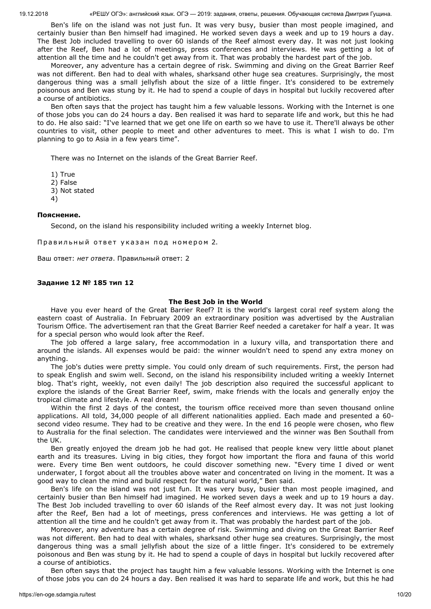Ben's life on the island was not just fun. It was very busy, busier than most people imagined, and certainly busier than Ben himself had imagined. He worked seven days a week and up to 19 hours a day. The Best Job included travelling to over 60 islands of the Reef almost every day. It was not just looking after the Reef, Ben had a lot of meetings, press conferences and interviews. He was getting a lot of attention all the time and he couldn't get away from it. That was probably the hardest part of the job.

Moreover, any adventure has a certain degree of risk. Swimming and diving on the Great Barrier Reef was not different. Ben had to deal with whales, sharksand other huge sea creatures. Surprisingly, the most dangerous thing was a small jellyfish about the size of a little finger. It's considered to be extremely poisonous and Ben was stung by it. He had to spend a couple of days in hospital but luckily recovered after a course of antibiotics.

Ben often says that the project has taught him a few valuable lessons. Working with the Internet is one of those jobs you can do 24 hours a day. Ben realised it was hard to separate life and work, but this he had to do. He also said: "I've learned that we get one life on earth so we have to use it. There'll always be other countries to visit, other people to meet and other adventures to meet. This is what I wish to do. I'm planning to go to Asia in a few years time".

There was no Internet on the islands of the Great Barrier Reef.

1) True

2) False

3) Not stated

4)

#### **Пояснение.**

Second, on the island his responsibility included writing a weekly Internet blog.

Правильный ответ указан под номером 2.

Ваш ответ: *нет ответа*. Правильный ответ: 2

#### **Задание 12 № 185 тип 12**

#### **The Best Job in the World**

Have you ever heard of the Great Barrier Reef? It is the world's largest coral reef system along the eastern coast of Australia. In February 2009 an extraordinary position was advertised by the Australian Tourism Office. The advertisement ran that the Great Barrier Reef needed a caretaker for half a year. It was for a special person who would look after the Reef.

The job offered a large salary, free accommodation in a luxury villa, and transportation there and around the islands. All expenses would be paid: the winner wouldn't need to spend any extra money on anything.

The job's duties were pretty simple. You could only dream of such requirements. First, the person had to speak English and swim well. Second, on the island his responsibility included writing a weekly Internet blog. That's right, weekly, not even daily! The job description also required the successful applicant to explore the islands of the Great Barrier Reef, swim, make friends with the locals and generally enjoy the tropical climate and lifestyle. A real dream!

Within the first 2 days of the contest, the tourism office received more than seven thousand online applications. All told, 34,000 people of all different nationalities applied. Each made and presented a 60 second video resume. They had to be creative and they were. In the end 16 people were chosen, who flew to Australia for the final selection. The candidates were interviewed and the winner was Ben Southall from the UK.

Ben greatly enjoyed the dream job he had got. He realised that people knew very little about planet earth and its treasures. Living in big cities, they forgot how important the flora and fauna of this world were. Every time Ben went outdoors, he could discover something new. "Every time I dived or went underwater, I forgot about all the troubles above water and concentrated on living in the moment. It was a good way to clean the mind and build respect for the natural world," Ben said.

Ben's life on the island was not just fun. It was very busy, busier than most people imagined, and certainly busier than Ben himself had imagined. He worked seven days a week and up to 19 hours a day. The Best Job included travelling to over 60 islands of the Reef almost every day. It was not just looking after the Reef, Ben had a lot of meetings, press conferences and interviews. He was getting a lot of attention all the time and he couldn't get away from it. That was probably the hardest part of the job.

Moreover, any adventure has a certain degree of risk. Swimming and diving on the Great Barrier Reef was not different. Ben had to deal with whales, sharksand other huge sea creatures. Surprisingly, the most dangerous thing was a small jellyfish about the size of a little finger. It's considered to be extremely poisonous and Ben was stung by it. He had to spend a couple of days in hospital but luckily recovered after a course of antibiotics.

Ben often says that the project has taught him a few valuable lessons. Working with the Internet is one of those jobs you can do 24 hours a day. Ben realised it was hard to separate life and work, but this he had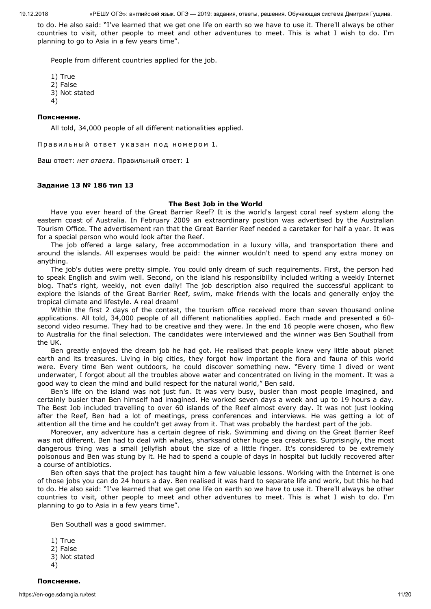to do. He also said: "I've learned that we get one life on earth so we have to use it. There'll always be other countries to visit, other people to meet and other adventures to meet. This is what I wish to do. I'm planning to go to Asia in a few years time".

People from different countries applied for the job.

- 1) True
- 2) False
- 3) Not stated
- 4)

# **Пояснение.**

All told, 34,000 people of all different nationalities applied.

Правильный ответ указан под номером 1.

Ваш ответ: *нет ответа*. Правильный ответ: 1

# **Задание 13 № 186 тип 13**

# **The Best Job in the World**

Have you ever heard of the Great Barrier Reef? It is the world's largest coral reef system along the eastern coast of Australia. In February 2009 an extraordinary position was advertised by the Australian Tourism Office. The advertisement ran that the Great Barrier Reef needed a caretaker for half a year. It was for a special person who would look after the Reef.

The job offered a large salary, free accommodation in a luxury villa, and transportation there and around the islands. All expenses would be paid: the winner wouldn't need to spend any extra money on anything.

The job's duties were pretty simple. You could only dream of such requirements. First, the person had to speak English and swim well. Second, on the island his responsibility included writing a weekly Internet blog. That's right, weekly, not even daily! The job description also required the successful applicant to explore the islands of the Great Barrier Reef, swim, make friends with the locals and generally enjoy the tropical climate and lifestyle. A real dream!

Within the first 2 days of the contest, the tourism office received more than seven thousand online applications. All told, 34,000 people of all different nationalities applied. Each made and presented a 60 second video resume. They had to be creative and they were. In the end 16 people were chosen, who flew to Australia for the final selection. The candidates were interviewed and the winner was Ben Southall from the UK.

Ben greatly enjoyed the dream job he had got. He realised that people knew very little about planet earth and its treasures. Living in big cities, they forgot how important the flora and fauna of this world were. Every time Ben went outdoors, he could discover something new. "Every time I dived or went underwater, I forgot about all the troubles above water and concentrated on living in the moment. It was a good way to clean the mind and build respect for the natural world," Ben said.

Ben's life on the island was not just fun. It was very busy, busier than most people imagined, and certainly busier than Ben himself had imagined. He worked seven days a week and up to 19 hours a day. The Best Job included travelling to over 60 islands of the Reef almost every day. It was not just looking after the Reef, Ben had a lot of meetings, press conferences and interviews. He was getting a lot of attention all the time and he couldn't get away from it. That was probably the hardest part of the job.

Moreover, any adventure has a certain degree of risk. Swimming and diving on the Great Barrier Reef was not different. Ben had to deal with whales, sharksand other huge sea creatures. Surprisingly, the most dangerous thing was a small jellyfish about the size of a little finger. It's considered to be extremely poisonous and Ben was stung by it. He had to spend a couple of days in hospital but luckily recovered after a course of antibiotics.

Ben often says that the project has taught him a few valuable lessons. Working with the Internet is one of those jobs you can do 24 hours a day. Ben realised it was hard to separate life and work, but this he had to do. He also said: "I've learned that we get one life on earth so we have to use it. There'll always be other countries to visit, other people to meet and other adventures to meet. This is what I wish to do. I'm planning to go to Asia in a few years time".

Ben Southall was a good swimmer.

1) True 2) False 3) Not stated 4)

https://en-oge.sdamgia.ru/test 11/20 **Пояснение.**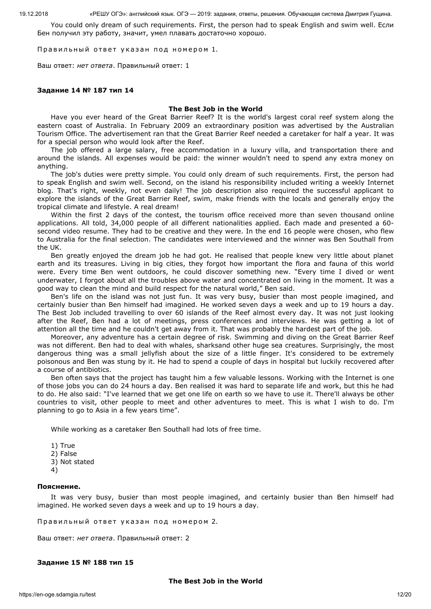You could only dream of such requirements. First, the person had to speak English and swim well. Если Бен получил эту работу, значит, умел плавать достаточно хорошо.

Правильный ответ указан под номером 1.

Ваш ответ: *нет ответа*. Правильный ответ: 1

#### **Задание 14 № 187 тип 14**

#### **The Best Job in the World**

Have you ever heard of the Great Barrier Reef? It is the world's largest coral reef system along the eastern coast of Australia. In February 2009 an extraordinary position was advertised by the Australian Tourism Office. The advertisement ran that the Great Barrier Reef needed a caretaker for half a year. It was for a special person who would look after the Reef.

The job offered a large salary, free accommodation in a luxury villa, and transportation there and around the islands. All expenses would be paid: the winner wouldn't need to spend any extra money on anything.

The job's duties were pretty simple. You could only dream of such requirements. First, the person had to speak English and swim well. Second, on the island his responsibility included writing a weekly Internet blog. That's right, weekly, not even daily! The job description also required the successful applicant to explore the islands of the Great Barrier Reef, swim, make friends with the locals and generally enjoy the tropical climate and lifestyle. A real dream!

Within the first 2 days of the contest, the tourism office received more than seven thousand online applications. All told, 34,000 people of all different nationalities applied. Each made and presented a 60 second video resume. They had to be creative and they were. In the end 16 people were chosen, who flew to Australia for the final selection. The candidates were interviewed and the winner was Ben Southall from the UK.

Ben greatly enjoyed the dream job he had got. He realised that people knew very little about planet earth and its treasures. Living in big cities, they forgot how important the flora and fauna of this world were. Every time Ben went outdoors, he could discover something new. "Every time I dived or went underwater, I forgot about all the troubles above water and concentrated on living in the moment. It was a good way to clean the mind and build respect for the natural world," Ben said.

Ben's life on the island was not just fun. It was very busy, busier than most people imagined, and certainly busier than Ben himself had imagined. He worked seven days a week and up to 19 hours a day. The Best Job included travelling to over 60 islands of the Reef almost every day. It was not just looking after the Reef, Ben had a lot of meetings, press conferences and interviews. He was getting a lot of attention all the time and he couldn't get away from it. That was probably the hardest part of the job.

Moreover, any adventure has a certain degree of risk. Swimming and diving on the Great Barrier Reef was not different. Ben had to deal with whales, sharksand other huge sea creatures. Surprisingly, the most dangerous thing was a small jellyfish about the size of a little finger. It's considered to be extremely poisonous and Ben was stung by it. He had to spend a couple of days in hospital but luckily recovered after a course of antibiotics.

Ben often says that the project has taught him a few valuable lessons. Working with the Internet is one of those jobs you can do 24 hours a day. Ben realised it was hard to separate life and work, but this he had to do. He also said: "I've learned that we get one life on earth so we have to use it. There'll always be other countries to visit, other people to meet and other adventures to meet. This is what I wish to do. I'm planning to go to Asia in a few years time".

While working as a caretaker Ben Southall had lots of free time.

- 1) True 2) False
- 3) Not stated
- 4)

#### **Пояснение.**

It was very busy, busier than most people imagined, and certainly busier than Ben himself had imagined. He worked seven days a week and up to 19 hours a day.

Правильный ответ указан под номером 2.

Ваш ответ: *нет ответа*. Правильный ответ: 2

#### **Задание 15 № 188 тип 15**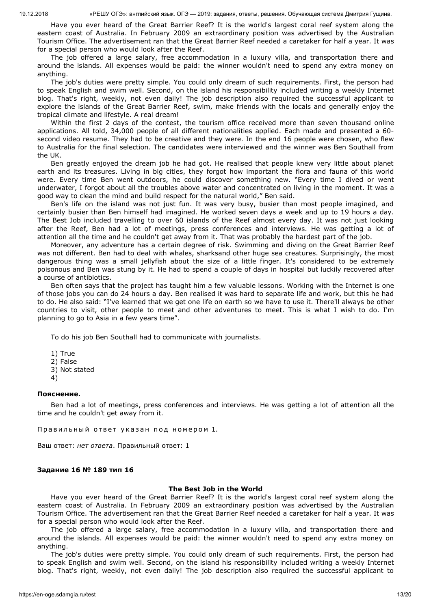Have you ever heard of the Great Barrier Reef? It is the world's largest coral reef system along the eastern coast of Australia. In February 2009 an extraordinary position was advertised by the Australian Tourism Office. The advertisement ran that the Great Barrier Reef needed a caretaker for half a year. It was for a special person who would look after the Reef.

The job offered a large salary, free accommodation in a luxury villa, and transportation there and around the islands. All expenses would be paid: the winner wouldn't need to spend any extra money on anything.

The job's duties were pretty simple. You could only dream of such requirements. First, the person had to speak English and swim well. Second, on the island his responsibility included writing a weekly Internet blog. That's right, weekly, not even daily! The job description also required the successful applicant to explore the islands of the Great Barrier Reef, swim, make friends with the locals and generally enjoy the tropical climate and lifestyle. A real dream!

Within the first 2 days of the contest, the tourism office received more than seven thousand online applications. All told, 34,000 people of all different nationalities applied. Each made and presented a 60 second video resume. They had to be creative and they were. In the end 16 people were chosen, who flew to Australia for the final selection. The candidates were interviewed and the winner was Ben Southall from the UK.

Ben greatly enjoyed the dream job he had got. He realised that people knew very little about planet earth and its treasures. Living in big cities, they forgot how important the flora and fauna of this world were. Every time Ben went outdoors, he could discover something new. "Every time I dived or went underwater, I forgot about all the troubles above water and concentrated on living in the moment. It was a good way to clean the mind and build respect for the natural world," Ben said.

Ben's life on the island was not just fun. It was very busy, busier than most people imagined, and certainly busier than Ben himself had imagined. He worked seven days a week and up to 19 hours a day. The Best Job included travelling to over 60 islands of the Reef almost every day. It was not just looking after the Reef, Ben had a lot of meetings, press conferences and interviews. He was getting a lot of attention all the time and he couldn't get away from it. That was probably the hardest part of the job.

Moreover, any adventure has a certain degree of risk. Swimming and diving on the Great Barrier Reef was not different. Ben had to deal with whales, sharksand other huge sea creatures. Surprisingly, the most dangerous thing was a small jellyfish about the size of a little finger. It's considered to be extremely poisonous and Ben was stung by it. He had to spend a couple of days in hospital but luckily recovered after a course of antibiotics.

Ben often says that the project has taught him a few valuable lessons. Working with the Internet is one of those jobs you can do 24 hours a day. Ben realised it was hard to separate life and work, but this he had to do. He also said: "I've learned that we get one life on earth so we have to use it. There'll always be other countries to visit, other people to meet and other adventures to meet. This is what I wish to do. I'm planning to go to Asia in a few years time".

To do his job Ben Southall had to communicate with journalists.

- 1) True
- 2) False
- 3) Not stated
- 4)

#### **Пояснение.**

Ben had a lot of meetings, press conferences and interviews. He was getting a lot of attention all the time and he couldn't get away from it.

Правильный ответ указан под номером 1.

Ваш ответ: *нет ответа*. Правильный ответ: 1

#### **Задание 16 № 189 тип 16**

#### **The Best Job in the World**

Have you ever heard of the Great Barrier Reef? It is the world's largest coral reef system along the eastern coast of Australia. In February 2009 an extraordinary position was advertised by the Australian Tourism Office. The advertisement ran that the Great Barrier Reef needed a caretaker for half a year. It was for a special person who would look after the Reef.

The job offered a large salary, free accommodation in a luxury villa, and transportation there and around the islands. All expenses would be paid: the winner wouldn't need to spend any extra money on anything.

The job's duties were pretty simple. You could only dream of such requirements. First, the person had to speak English and swim well. Second, on the island his responsibility included writing a weekly Internet blog. That's right, weekly, not even daily! The job description also required the successful applicant to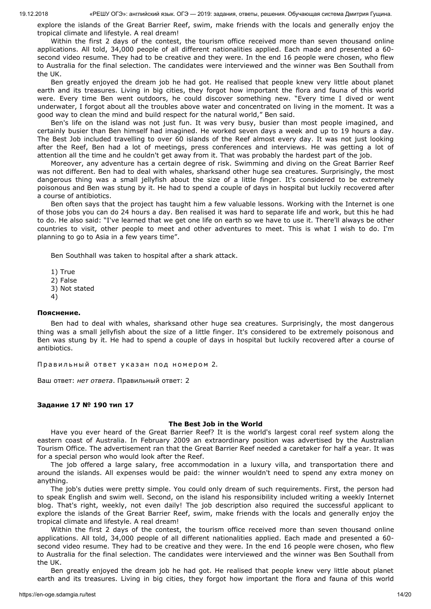explore the islands of the Great Barrier Reef, swim, make friends with the locals and generally enjoy the tropical climate and lifestyle. A real dream!

Within the first 2 days of the contest, the tourism office received more than seven thousand online applications. All told, 34,000 people of all different nationalities applied. Each made and presented a 60 second video resume. They had to be creative and they were. In the end 16 people were chosen, who flew to Australia for the final selection. The candidates were interviewed and the winner was Ben Southall from the UK.

Ben greatly enjoyed the dream job he had got. He realised that people knew very little about planet earth and its treasures. Living in big cities, they forgot how important the flora and fauna of this world were. Every time Ben went outdoors, he could discover something new. "Every time I dived or went underwater, I forgot about all the troubles above water and concentrated on living in the moment. It was a good way to clean the mind and build respect for the natural world," Ben said.

Ben's life on the island was not just fun. It was very busy, busier than most people imagined, and certainly busier than Ben himself had imagined. He worked seven days a week and up to 19 hours a day. The Best Job included travelling to over 60 islands of the Reef almost every day. It was not just looking after the Reef, Ben had a lot of meetings, press conferences and interviews. He was getting a lot of attention all the time and he couldn't get away from it. That was probably the hardest part of the job.

Moreover, any adventure has a certain degree of risk. Swimming and diving on the Great Barrier Reef was not different. Ben had to deal with whales, sharksand other huge sea creatures. Surprisingly, the most dangerous thing was a small jellyfish about the size of a little finger. It's considered to be extremely poisonous and Ben was stung by it. He had to spend a couple of days in hospital but luckily recovered after a course of antibiotics.

Ben often says that the project has taught him a few valuable lessons. Working with the Internet is one of those jobs you can do 24 hours a day. Ben realised it was hard to separate life and work, but this he had to do. He also said: "I've learned that we get one life on earth so we have to use it. There'll always be other countries to visit, other people to meet and other adventures to meet. This is what I wish to do. I'm planning to go to Asia in a few years time".

Ben Southhall was taken to hospital after a shark attack.

1) True 2) False 3) Not stated 4)

### **Пояснение.**

Ben had to deal with whales, sharksand other huge sea creatures. Surprisingly, the most dangerous thing was a small jellyfish about the size of a little finger. It's considered to be extremely poisonous and Ben was stung by it. He had to spend a couple of days in hospital but luckily recovered after a course of antibiotics.

Правильный ответ указан под номером 2.

Ваш ответ: *нет ответа*. Правильный ответ: 2

### **Задание 17 № 190 тип 17**

### **The Best Job in the World**

Have you ever heard of the Great Barrier Reef? It is the world's largest coral reef system along the eastern coast of Australia. In February 2009 an extraordinary position was advertised by the Australian Tourism Office. The advertisement ran that the Great Barrier Reef needed a caretaker for half a year. It was for a special person who would look after the Reef.

The job offered a large salary, free accommodation in a luxury villa, and transportation there and around the islands. All expenses would be paid: the winner wouldn't need to spend any extra money on anything.

The job's duties were pretty simple. You could only dream of such requirements. First, the person had to speak English and swim well. Second, on the island his responsibility included writing a weekly Internet blog. That's right, weekly, not even daily! The job description also required the successful applicant to explore the islands of the Great Barrier Reef, swim, make friends with the locals and generally enjoy the tropical climate and lifestyle. A real dream!

Within the first 2 days of the contest, the tourism office received more than seven thousand online applications. All told, 34,000 people of all different nationalities applied. Each made and presented a 60 second video resume. They had to be creative and they were. In the end 16 people were chosen, who flew to Australia for the final selection. The candidates were interviewed and the winner was Ben Southall from the UK.

Ben greatly enjoyed the dream job he had got. He realised that people knew very little about planet earth and its treasures. Living in big cities, they forgot how important the flora and fauna of this world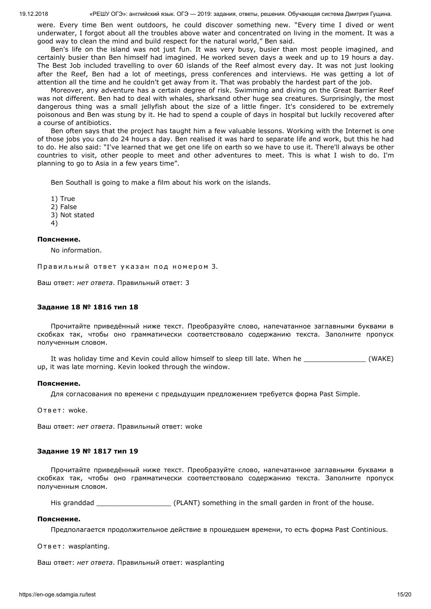were. Every time Ben went outdoors, he could discover something new. "Every time I dived or went underwater, I forgot about all the troubles above water and concentrated on living in the moment. It was a good way to clean the mind and build respect for the natural world," Ben said.

Ben's life on the island was not just fun. It was very busy, busier than most people imagined, and certainly busier than Ben himself had imagined. He worked seven days a week and up to 19 hours a day. The Best Job included travelling to over 60 islands of the Reef almost every day. It was not just looking after the Reef, Ben had a lot of meetings, press conferences and interviews. He was getting a lot of attention all the time and he couldn't get away from it. That was probably the hardest part of the job.

Moreover, any adventure has a certain degree of risk. Swimming and diving on the Great Barrier Reef was not different. Ben had to deal with whales, sharksand other huge sea creatures. Surprisingly, the most dangerous thing was a small jellyfish about the size of a little finger. It's considered to be extremely poisonous and Ben was stung by it. He had to spend a couple of days in hospital but luckily recovered after a course of antibiotics.

Ben often says that the project has taught him a few valuable lessons. Working with the Internet is one of those jobs you can do 24 hours a day. Ben realised it was hard to separate life and work, but this he had to do. He also said: "I've learned that we get one life on earth so we have to use it. There'll always be other countries to visit, other people to meet and other adventures to meet. This is what I wish to do. I'm planning to go to Asia in a few years time".

Ben Southall is going to make a film about his work on the islands.

1) True 2) False 3) Not stated 4)

#### **Пояснение.**

No information.

Правильный ответ указан под номером 3.

Ваш ответ: *нет ответа*. Правильный ответ: 3

### **Задание 18 № 1816 тип 18**

Прочитайте приведённый ниже текст. Преобразуйте слово, напечатанное заглавными буквами в скобках так, чтобы оно грамматически соответствовало содержанию текста. Заполните пропуск полученным словом.

It was holiday time and Kevin could allow himself to sleep till late. When he \_\_\_\_\_\_\_\_\_\_\_\_\_\_\_ (WAKE) up, it was late morning. Kevin looked through the window.

#### **Пояснение.**

Для согласования по времени с предыдущим предложением требуется форма Past Simple.

Ответ: woke.

Ваш ответ: *нет ответа*. Правильный ответ: woke

### **Задание 19 № 1817 тип 19**

Прочитайте приведённый ниже текст. Преобразуйте слово, напечатанное заглавными буквами в скобках так, чтобы оно грамматически соответствовало содержанию текста. Заполните пропуск полученным словом.

His granddad **Example 20** (PLANT) something in the small garden in front of the house.

### **Пояснение.**

Предполагается продолжительное действие в прошедшем времени, то есть форма Past Continious.

Ответ: wasplanting.

Ваш ответ: *нет ответа*. Правильный ответ: wasplanting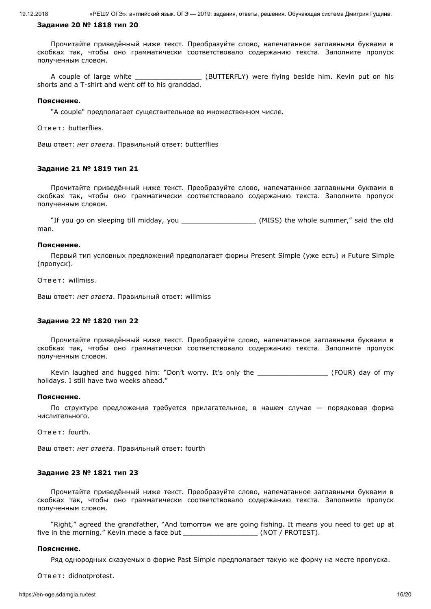### **Задание 20 № 1818 тип 20**

Прочитайте приведённый ниже текст. Преобразуйте слово, напечатанное заглавными буквами в скобках так, чтобы оно грамматически соответствовало содержанию текста. Заполните пропуск полученным словом.

A couple of large white \_\_\_\_\_\_\_\_\_\_\_\_\_\_\_\_\_\_\_\_\_ (BUTTERFLY) were flying beside him. Kevin put on his shorts and a T-shirt and went off to his granddad.

### **Пояснение.**

"A couple" предполагает существительное во множественном числе.

О т в е т: butterflies.

Ваш ответ: *нет ответа*. Правильный ответ: butterflies

#### **Задание 21 № 1819 тип 21**

Прочитайте приведённый ниже текст. Преобразуйте слово, напечатанное заглавными буквами в скобках так, чтобы оно грамматически соответствовало содержанию текста. Заполните пропуск полученным словом.

"If you go on sleeping till midday, you \_\_\_\_\_\_\_\_\_\_\_\_\_\_\_\_\_\_\_\_\_\_\_(MISS) the whole summer," said the old man.

#### **Пояснение.**

Первый тип условных предложений предполагает формы Present Simple (уже есть) и Future Simple (пропуск).

Ответ: willmiss.

Ваш ответ: *нет ответа*. Правильный ответ: willmiss

## **Задание 22 № 1820 тип 22**

Прочитайте приведённый ниже текст. Преобразуйте слово, напечатанное заглавными буквами в скобках так, чтобы оно грамматически соответствовало содержанию текста. Заполните пропуск полученным словом.

Kevin laughed and hugged him: "Don't worry. It's only the \_\_\_\_\_\_\_\_\_\_\_\_\_\_\_\_\_\_\_\_\_\_\_ (FOUR) day of my holidays. I still have two weeks ahead."

#### **Пояснение.**

По структуре предложения требуется прилагательное, в нашем случае — порядковая форма числительного.

Ответ: fourth.

Ваш ответ: *нет ответа*. Правильный ответ: fourth

#### **Задание 23 № 1821 тип 23**

Прочитайте приведённый ниже текст. Преобразуйте слово, напечатанное заглавными буквами в скобках так, чтобы оно грамматически соответствовало содержанию текста. Заполните пропуск полученным словом.

"Right," agreed the grandfather, "And tomorrow we are going fishing. It means you need to get up at five in the morning." Kevin made a face but  $(NOT / PROTEST)$ .

#### **Пояснение.**

Ряд однородных сказуемых в форме Past Simple предполагает такую же форму на месте пропуска.

Ответ: didnotprotest.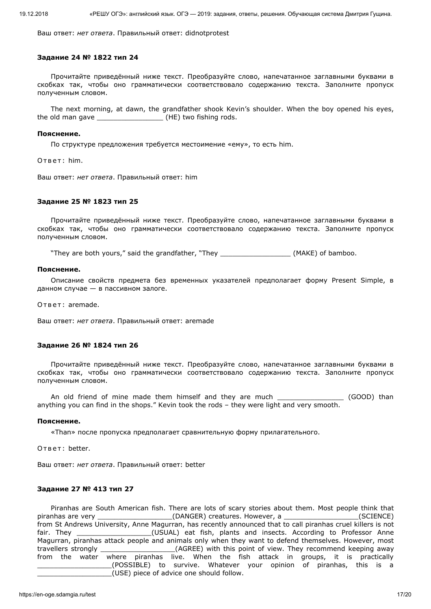Ваш ответ: *нет ответа*. Правильный ответ: didnotprotest

#### **Задание 24 № 1822 тип 24**

Прочитайте приведённый ниже текст. Преобразуйте слово, напечатанное заглавными буквами в скобках так, чтобы оно грамматически соответствовало содержанию текста. Заполните пропуск полученным словом.

The next morning, at dawn, the grandfather shook Kevin's shoulder. When the boy opened his eyes, the old man gave \_\_\_\_\_\_\_\_\_\_\_\_\_\_\_\_\_\_\_\_\_\_\_ (HE) two fishing rods.

#### **Пояснение.**

По структуре предложения требуется местоимение «ему», то есть him.

Ответ: him.

Ваш ответ: *нет ответа*. Правильный ответ: him

## **Задание 25 № 1823 тип 25**

Прочитайте приведённый ниже текст. Преобразуйте слово, напечатанное заглавными буквами в скобках так, чтобы оно грамматически соответствовало содержанию текста. Заполните пропуск полученным словом.

"They are both yours," said the grandfather, "They \_\_\_\_\_\_\_\_\_\_\_\_\_\_\_\_\_ (MAKE) of bamboo.

#### **Пояснение.**

Описание свойств предмета без временных указателей предполагает форму Present Simple, в данном случае — в пассивном залоге.

Ответ: aremade.

Ваш ответ: *нет ответа*. Правильный ответ: aremade

### **Задание 26 № 1824 тип 26**

Прочитайте приведённый ниже текст. Преобразуйте слово, напечатанное заглавными буквами в скобках так, чтобы оно грамматически соответствовало содержанию текста. Заполните пропуск полученным словом.

An old friend of mine made them himself and they are much \_\_\_\_\_\_\_\_\_\_\_\_\_\_\_\_\_\_ (GOOD) than anything you can find in the shops." Kevin took the rods – they were light and very smooth.

#### **Пояснение.**

«Than» после пропуска предполагает сравнительную форму прилагательного.

Ответ: better.

Ваш ответ: *нет ответа*. Правильный ответ: better

### **Задание 27 № 413 тип 27**

Piranhas are South American fish. There are lots of scary stories about them. Most people think that piranhas are very \_\_\_\_\_\_\_\_\_\_\_\_\_\_\_\_\_\_\_\_\_\_\_(DANGER) creatures. However, a \_\_\_\_\_\_\_\_\_\_\_\_\_\_\_\_\_\_\_(SCIENCE) from St Andrews University, Anne Magurran, has recently announced that to call piranhas cruel killers is not fair. They \_\_\_\_\_\_\_\_\_\_\_\_\_\_\_\_\_\_\_\_(USUAL) eat fish, plants and insects. According to Professor Anne Magurran, piranhas attack people and animals only when they want to defend themselves. However, most travellers strongly \_\_\_\_\_\_\_\_\_\_\_\_\_\_\_\_\_\_(AGREE) with this point of view. They recommend keeping away from the water where piranhas live. When the fish attack in groups, it is practically \_\_\_\_\_\_\_\_\_\_\_\_\_\_\_\_\_\_(POSSIBLE) to survive. Whatever your opinion of piranhas, this is a \_\_\_\_\_\_\_\_\_\_\_\_\_\_\_\_\_\_(USE) piece of advice one should follow.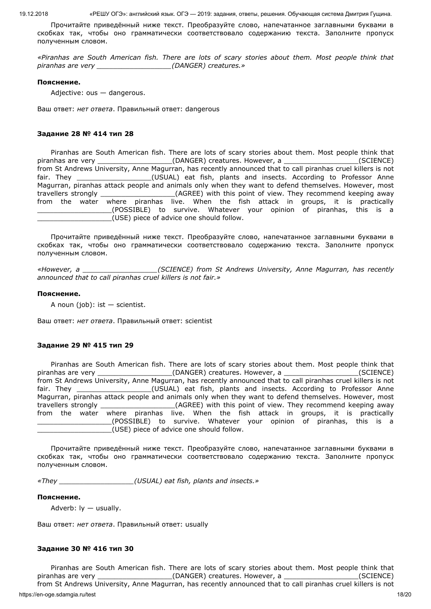Прочитайте приведённый ниже текст. Преобразуйте слово, напечатанное заглавными буквами в скобках так, чтобы оно грамматически соответствовало содержанию текста. Заполните пропуск полученным словом.

*«Piranhas are South American fish. There are lots of scary stories about them. Most people think that piranhas are very \_\_\_\_\_\_\_\_\_\_\_\_\_\_\_\_\_\_(DANGER) creatures.»*

#### **Пояснение.**

Adjective: ous — dangerous.

Ваш ответ: *нет ответа*. Правильный ответ: dangerous

### **Задание 28 № 414 тип 28**

Piranhas are South American fish. There are lots of scary stories about them. Most people think that piranhas are very \_\_\_\_\_\_\_\_\_\_\_\_\_\_\_\_\_\_\_\_\_\_\_(DANGER) creatures. However, a \_\_\_\_\_\_\_\_\_\_\_\_\_\_\_\_\_\_\_\_(SCIENCE) from St Andrews University, Anne Magurran, has recently announced that to call piranhas cruel killers is not fair. They \_\_\_\_\_\_\_\_\_\_\_\_\_\_\_\_\_\_\_\_(USUAL) eat fish, plants and insects. According to Professor Anne Magurran, piranhas attack people and animals only when they want to defend themselves. However, most<br>travellers strongly \_\_\_\_\_\_\_\_\_\_\_\_\_\_\_\_(AGREE) with this point of view. They recommend keeping away (AGREE) with this point of view. They recommend keeping away from the water where piranhas live. When the fish attack in groups, it is practically \_\_\_\_\_\_\_\_\_\_\_\_\_\_\_\_\_\_(POSSIBLE) to survive. Whatever your opinion of piranhas, this is a \_\_\_\_\_\_\_\_\_\_\_\_\_\_\_\_\_\_(USE) piece of advice one should follow.

Прочитайте приведённый ниже текст. Преобразуйте слово, напечатанное заглавными буквами в скобках так, чтобы оно грамматически соответствовало содержанию текста. Заполните пропуск полученным словом.

*«However, a \_\_\_\_\_\_\_\_\_\_\_\_\_\_\_\_\_\_(SCIENCE) from St Andrews University, Anne Magurran, has recently announced that to call piranhas cruel killers is not fair.»*

### **Пояснение.**

A noun (job):  $ist -$  scientist.

Ваш ответ: *нет ответа*. Правильный ответ: scientist

### **Задание 29 № 415 тип 29**

Piranhas are South American fish. There are lots of scary stories about them. Most people think that piranhas are very \_\_\_\_\_\_\_\_\_\_\_\_\_\_\_\_\_\_\_\_\_\_(DANGER) creatures. However, a \_\_\_\_\_\_\_\_\_\_\_\_\_\_\_\_(SCIENCE) from St Andrews University, Anne Magurran, has recently announced that to call piranhas cruel killers is not fair. They **the contract of the COSUAL**) eat fish, plants and insects. According to Professor Anne Magurran, piranhas attack people and animals only when they want to defend themselves. However, most travellers strongly \_\_\_\_\_\_\_\_\_\_\_\_\_\_\_\_\_\_(AGREE) with this point of view. They recommend keeping away from the water where piranhas live. When the fish attack in groups, it is practically \_\_\_\_\_\_\_\_\_\_\_\_\_\_\_\_\_\_(POSSIBLE) to survive. Whatever your opinion of piranhas, this is a \_\_\_\_\_\_\_\_\_\_\_\_\_\_\_\_\_\_(USE) piece of advice one should follow.

Прочитайте приведённый ниже текст. Преобразуйте слово, напечатанное заглавными буквами в скобках так, чтобы оно грамматически соответствовало содержанию текста. Заполните пропуск полученным словом.

*«They \_\_\_\_\_\_\_\_\_\_\_\_\_\_\_\_\_\_(USUAL) eat fish, plants and insects.»*

### **Пояснение.**

Adverb:  $ly - usually$ .

Ваш ответ: *нет ответа*. Правильный ответ: usually

### **Задание 30 № 416 тип 30**

Piranhas are South American fish. There are lots of scary stories about them. Most people think that piranhas are very \_\_\_\_\_\_\_\_\_\_\_\_\_\_\_\_\_\_\_\_\_\_\_(DANGER) creatures. However, a \_\_\_\_\_\_\_\_\_\_\_\_\_\_\_\_\_\_\_\_(SCIENCE)

https://en-oge.sdamgia.ru/test 18/20 from St Andrews University, Anne Magurran, has recently announced that to call piranhas cruel killers is not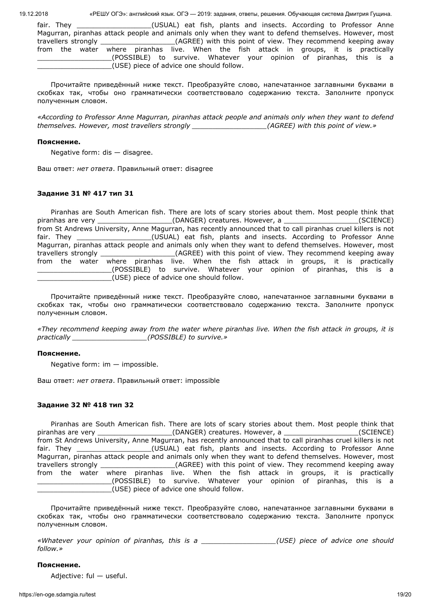fair. They \_\_\_\_\_\_\_\_\_\_\_\_\_\_\_\_\_\_\_\_\_(USUAL) eat fish, plants and insects. According to Professor Anne Magurran, piranhas attack people and animals only when they want to defend themselves. However, most travellers strongly \_\_\_\_\_\_\_\_\_\_\_\_\_\_\_\_\_\_(AGREE) with this point of view. They recommend keeping away from the water where piranhas live. When the fish attack in groups, it is practically \_\_\_\_\_\_\_\_\_\_\_\_\_\_\_\_\_\_(POSSIBLE) to survive. Whatever your opinion of piranhas, this is a \_\_\_\_\_\_\_\_\_\_\_\_\_\_\_\_\_\_(USE) piece of advice one should follow.

Прочитайте приведённый ниже текст. Преобразуйте слово, напечатанное заглавными буквами в скобках так, чтобы оно грамматически соответствовало содержанию текста. Заполните пропуск полученным словом.

*«According to Professor Anne Magurran, piranhas attack people and animals only when they want to defend themselves. However, most travellers strongly \_\_\_\_\_\_\_\_\_\_\_\_\_\_\_\_\_\_(AGREE) with this point of view.»*

### **Пояснение.**

Negative form: dis — disagree.

Ваш ответ: *нет ответа*. Правильный ответ: disagree

## **Задание 31 № 417 тип 31**

Piranhas are South American fish. There are lots of scary stories about them. Most people think that piranhas are very \_\_\_\_\_\_\_\_\_\_\_\_\_\_\_\_\_\_\_\_\_\_(DANGER) creatures. However, a \_\_\_\_\_\_\_\_\_\_\_\_\_\_\_\_\_\_(SCIENCE) from St Andrews University, Anne Magurran, has recently announced that to call piranhas cruel killers is not fair. They \_\_\_\_\_\_\_\_\_\_\_\_\_\_\_\_\_\_\_\_(USUAL) eat fish, plants and insects. According to Professor Anne Magurran, piranhas attack people and animals only when they want to defend themselves. However, most travellers strongly \_\_\_\_\_\_\_\_\_\_\_\_\_\_\_\_\_\_(AGREE) with this point of view. They recommend keeping away from the water where piranhas live. When the fish attack in groups, it is practically \_\_\_\_\_\_\_\_\_\_\_\_\_\_\_\_\_\_(POSSIBLE) to survive. Whatever your opinion of piranhas, this is a \_\_\_\_\_\_\_\_\_\_\_\_\_\_\_\_\_\_(USE) piece of advice one should follow.

Прочитайте приведённый ниже текст. Преобразуйте слово, напечатанное заглавными буквами в скобках так, чтобы оно грамматически соответствовало содержанию текста. Заполните пропуск полученным словом.

*«They recommend keeping away from the water where piranhas live. When the fish attack in groups, it is practically \_\_\_\_\_\_\_\_\_\_\_\_\_\_\_\_\_\_(POSSIBLE) to survive.»*

### **Пояснение.**

Negative form: im — impossible.

Ваш ответ: *нет ответа*. Правильный ответ: impossible

### **Задание 32 № 418 тип 32**

Piranhas are South American fish. There are lots of scary stories about them. Most people think that piranhas are very \_\_\_\_\_\_\_\_\_\_\_\_\_\_\_\_\_\_(DANGER) creatures. However, a \_\_\_\_\_\_\_\_\_\_\_\_\_\_\_\_\_\_(SCIENCE) from St Andrews University, Anne Magurran, has recently announced that to call piranhas cruel killers is not fair. They **the contract of the COV** (USUAL) eat fish, plants and insects. According to Professor Anne Magurran, piranhas attack people and animals only when they want to defend themselves. However, most travellers strongly example the strongly and the CAGREE) with this point of view. They recommend keeping away from the water where piranhas live. When the fish attack in groups, it is practically \_\_\_\_\_\_\_\_\_\_\_\_\_\_\_\_\_\_(POSSIBLE) to survive. Whatever your opinion of piranhas, this is a \_\_\_\_\_\_\_\_\_\_\_\_\_\_\_\_\_\_(USE) piece of advice one should follow.

Прочитайте приведённый ниже текст. Преобразуйте слово, напечатанное заглавными буквами в скобках так, чтобы оно грамматически соответствовало содержанию текста. Заполните пропуск полученным словом.

*«Whatever your opinion of piranhas, this is a \_\_\_\_\_\_\_\_\_\_\_\_\_\_\_\_\_\_(USE) piece of advice one should follow.»*

### **Пояснение.**

Adjective: ful — useful.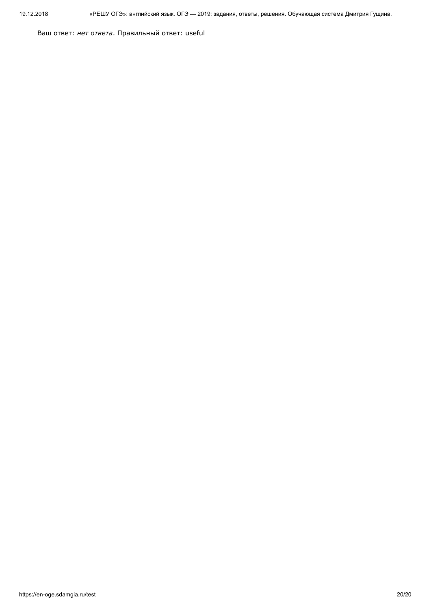Ваш ответ: *нет ответа*. Правильный ответ: useful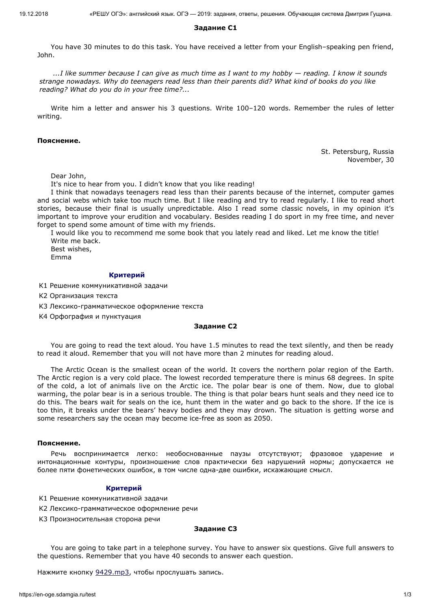# **Задание С1**

You have 30 minutes to do this task. You have received a letter from your English–speaking pen friend, John.

*...I like summer because I can give as much time as I want to my hobby — reading. I know it sounds strange nowadays. Why do teenagers read less than their parents did? What kind of books do you like reading? What do you do in your free time?...*

Write him a letter and answer his 3 questions. Write 100–120 words. Remember the rules of letter writing.

### **Пояснение.**

St. Petersburg, Russia November, 30

Dear John,

It's nice to hear from you. I didn't know that you like reading!

I think that nowadays teenagers read less than their parents because of the internet, computer games and social webs which take too much time. But I like reading and try to read regularly. I like to read short stories, because their final is usually unpredictable. Also I read some classic novels, in my opinion it's important to improve your erudition and vocabulary. Besides reading I do sport in my free time, and never forget to spend some amount of time with my friends.

I would like you to recommend me some book that you lately read and liked. Let me know the title! Write me back. Best wishes,

Emma

#### **Критерий**

- K1 Решение коммуникативной задачи
- K2 Организация текста
- K3 Лексико-грамматическое оформление текста
- K4 Орфография и пунктуация

#### **Задание С2**

You are going to read the text aloud. You have 1.5 minutes to read the text silently, and then be ready to read it aloud. Remember that you will not have more than 2 minutes for reading aloud.

The Arctic Ocean is the smallest ocean of the world. It covers the northern polar region of the Earth. The Arctic region is a very cold place. The lowest recorded temperature there is minus 68 degrees. In spite of the cold, a lot of animals live on the Arctic ice. The polar bear is one of them. Now, due to global warming, the polar bear is in a serious trouble. The thing is that polar bears hunt seals and they need ice to do this. The bears wait for seals on the ice, hunt them in the water and go back to the shore. If the ice is too thin, it breaks under the bears' heavy bodies and they may drown. The situation is getting worse and some researchers say the ocean may become ice-free as soon as 2050.

#### **Пояснение.**

Речь воспринимается легко: необоснованные паузы отсутствуют; фразовое ударение и интонационные контуры, произношение слов практически без нарушений нормы; допускается не более пяти фонетических ошибок, в том числе одна-две ошибки, искажающие смысл.

### **Критерий**

K1 Решение коммуникативной задачи

K2 Лексико-грамматическое оформление речи

K3 Произносительная сторона речи

### **Задание С3**

You are going to take part in a telephone survey. You have to answer six questions. Give full answers to the questions. Remember that you have 40 seconds to answer each question.

Нажмите кнопку [9429.mp3](https://en-oge.sdamgia.ru/files/9429.mp3), чтобы прослушать запись.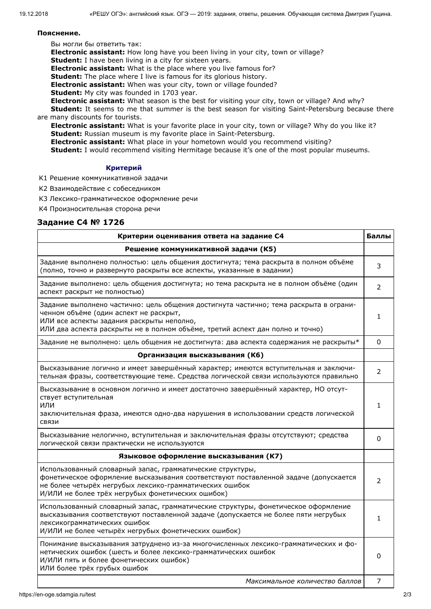# **Пояснение.**

Вы могли бы ответить так:

**Electronic assistant:** How long have you been living in your city, town or village?

**Student:** I have been living in a city for sixteen years.

**Electronic assistant:** What is the place where you live famous for?

**Student:** The place where I live is famous for its glorious history.

**Electronic assistant:** When was your city, town or village founded?

**Student:** My city was founded in 1703 year.

**Electronic assistant:** What season is the best for visiting your city, town or village? And why?

**Student:** It seems to me that summer is the best season for visiting Saint-Petersburg because there are many discounts for tourists.

**Electronic assistant:** What is your favorite place in your city, town or village? Why do you like it? **Student:** Russian museum is my favorite place in Saint-Petersburg.

**Electronic assistant:** What place in your hometown would you recommend visiting?

**Student:** I would recommend visiting Hermitage because it's one of the most popular museums.

# **Критерий**

K1 Решение коммуникативной задачи

K2 Взаимодействие с собеседником

K3 Лексико-грамматическое оформление речи

K4 Произносительная сторона речи

# **Задание С4 № 1726**

| Критерии оценивания ответа на задание С4                                                                                                                                                                                                                         |                |  |  |
|------------------------------------------------------------------------------------------------------------------------------------------------------------------------------------------------------------------------------------------------------------------|----------------|--|--|
| Решение коммуникативной задачи (К5)                                                                                                                                                                                                                              |                |  |  |
| Задание выполнено полностью: цель общения достигнута; тема раскрыта в полном объёме<br>(полно, точно и развернуто раскрыты все аспекты, указанные в задании)                                                                                                     | 3              |  |  |
| Задание выполнено: цель общения достигнута; но тема раскрыта не в полном объёме (один<br>аспект раскрыт не полностью)                                                                                                                                            | $\overline{2}$ |  |  |
| Задание выполнено частично: цель общения достигнута частично; тема раскрыта в ограни-<br>ченном объёме (один аспект не раскрыт,<br>ИЛИ все аспекты задания раскрыты неполно,<br>ИЛИ два аспекта раскрыты не в полном объёме, третий аспект дан полно и точно)    | 1              |  |  |
| Задание не выполнено: цель общения не достигнута: два аспекта содержания не раскрыты*                                                                                                                                                                            | $\Omega$       |  |  |
| Организация высказывания (К6)                                                                                                                                                                                                                                    |                |  |  |
| Высказывание логично и имеет завершённый характер; имеются вступительная и заключи-<br>тельная фразы, соответствующие теме. Средства логической связи используются правильно                                                                                     | $\mathcal{P}$  |  |  |
| Высказывание в основном логично и имеет достаточно завершённый характер, НО отсут-<br>ствует вступительная<br>или<br>заключительная фраза, имеются одно-два нарушения в использовании средств логической<br>СВЯЗИ                                                | 1              |  |  |
| Высказывание нелогично, вступительная и заключительная фразы отсутствуют; средства<br>логической связи практически не используются                                                                                                                               | 0              |  |  |
| Языковое оформление высказывания (К7)                                                                                                                                                                                                                            |                |  |  |
| Использованный словарный запас, грамматические структуры,<br>фонетическое оформление высказывания соответствуют поставленной задаче (допускается<br>не более четырёх негрубых лексико-грамматических ошибок<br>И/ИЛИ не более трёх негрубых фонетических ошибок) | $\overline{2}$ |  |  |
| Использованный словарный запас, грамматические структуры, фонетическое оформление<br>высказывания соответствуют поставленной задаче (допускается не более пяти негрубых<br>лексикограмматических ошибок<br>И/ИЛИ не более четырёх негрубых фонетических ошибок)  | 1              |  |  |
| Понимание высказывания затруднено из-за многочисленных лексико-грамматических и фо-<br>нетических ошибок (шесть и более лексико-грамматических ошибок<br>И/ИЛИ пять и более фонетических ошибок)<br>ИЛИ более трёх грубых ошибок                                 | 0              |  |  |
| Максимальное количество баллов                                                                                                                                                                                                                                   | 7              |  |  |